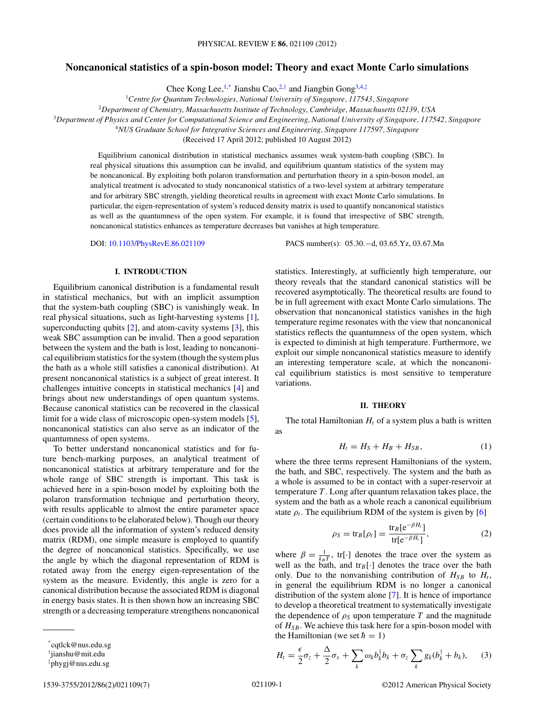# **Noncanonical statistics of a spin-boson model: Theory and exact Monte Carlo simulations**

Chee Kong Lee,<sup>1,\*</sup> Jianshu Cao,<sup>2,†</sup> and Jiangbin Gong<sup>3,4,‡</sup>

<sup>1</sup>*Centre for Quantum Technologies, National University of Singapore, 117543, Singapore*

<sup>2</sup>*Department of Chemistry, Massachusetts Institute of Technology, Cambridge, Massachusetts 02139, USA*

<sup>3</sup>*Department of Physics and Center for Computational Science and Engineering, National University of Singapore, 117542, Singapore*

<sup>4</sup>*NUS Graduate School for Integrative Sciences and Engineering, Singapore 117597, Singapore*

(Received 17 April 2012; published 10 August 2012)

Equilibrium canonical distribution in statistical mechanics assumes weak system-bath coupling (SBC). In real physical situations this assumption can be invalid, and equilibrium quantum statistics of the system may be noncanonical. By exploiting both polaron transformation and perturbation theory in a spin-boson model, an analytical treatment is advocated to study noncanonical statistics of a two-level system at arbitrary temperature and for arbitrary SBC strength, yielding theoretical results in agreement with exact Monte Carlo simulations. In particular, the eigen-representation of system's reduced density matrix is used to quantify noncanonical statistics as well as the quantumness of the open system. For example, it is found that irrespective of SBC strength, noncanonical statistics enhances as temperature decreases but vanishes at high temperature.

DOI: [10.1103/PhysRevE.86.021109](http://dx.doi.org/10.1103/PhysRevE.86.021109) PACS number(s): 05*.*30*.*−d, 03*.*65*.*Yz, 03*.*67*.*Mn

### **I. INTRODUCTION**

Equilibrium canonical distribution is a fundamental result in statistical mechanics, but with an implicit assumption that the system-bath coupling (SBC) is vanishingly weak. In real physical situations, such as light-harvesting systems [\[1\]](#page-5-0), superconducting qubits [\[2\]](#page-5-0), and atom-cavity systems [\[3\]](#page-5-0), this weak SBC assumption can be invalid. Then a good separation between the system and the bath is lost, leading to noncanonical equilibrium statistics for the system (though the system plus the bath as a whole still satisfies a canonical distribution). At present noncanonical statistics is a subject of great interest. It challenges intuitive concepts in statistical mechanics [\[4\]](#page-6-0) and brings about new understandings of open quantum systems. Because canonical statistics can be recovered in the classical limit for a wide class of microscopic open-system models [\[5\]](#page-6-0), noncanonical statistics can also serve as an indicator of the quantumness of open systems.

To better understand noncanonical statistics and for future bench-marking purposes, an analytical treatment of noncanonical statistics at arbitrary temperature and for the whole range of SBC strength is important. This task is achieved here in a spin-boson model by exploiting both the polaron transformation technique and perturbation theory, with results applicable to almost the entire parameter space (certain conditions to be elaborated below). Though our theory does provide all the information of system's reduced density matrix (RDM), one simple measure is employed to quantify the degree of noncanonical statistics. Specifically, we use the angle by which the diagonal representation of RDM is rotated away from the energy eigen-representation of the system as the measure. Evidently, this angle is zero for a canonical distribution because the associated RDM is diagonal in energy basis states. It is then shown how an increasing SBC strength or a decreasing temperature strengthens noncanonical

theory reveals that the standard canonical statistics will be recovered asymptotically. The theoretical results are found to be in full agreement with exact Monte Carlo simulations. The observation that noncanonical statistics vanishes in the high temperature regime resonates with the view that noncanonical statistics reflects the quantumness of the open system, which is expected to diminish at high temperature. Furthermore, we exploit our simple noncanonical statistics measure to identify an interesting temperature scale, at which the noncanonical equilibrium statistics is most sensitive to temperature variations.

statistics. Interestingly, at sufficiently high temperature, our

## **II. THEORY**

The total Hamiltonian  $H_t$  of a system plus a bath is written as

$$
H_t = H_S + H_B + H_{SB}, \t\t(1)
$$

where the three terms represent Hamiltonians of the system, the bath, and SBC, respectively. The system and the bath as a whole is assumed to be in contact with a super-reservoir at temperature *T* . Long after quantum relaxation takes place, the system and the bath as a whole reach a canonical equilibrium state  $\rho_t$ . The equilibrium RDM of the system is given by [\[6\]](#page-6-0)

$$
\rho_S = \text{tr}_B[\rho_t] = \frac{\text{tr}_B[e^{-\beta H_t}]}{\text{tr}[e^{-\beta H_t}]},\tag{2}
$$

where  $\beta = \frac{1}{k_B T}$ , tr[·] denotes the trace over the system as well as the bath, and  $\text{tr}_B[\cdot]$  denotes the trace over the bath only. Due to the nonvanishing contribution of  $H_{SB}$  to  $H_t$ , in general the equilibrium RDM is no longer a canonical distribution of the system alone [\[7\]](#page-6-0). It is hence of importance to develop a theoretical treatment to systematically investigate the dependence of  $\rho_S$  upon temperature *T* and the magnitude of *HSB*. We achieve this task here for a spin-boson model with the Hamiltonian (we set  $\hbar = 1$ )

$$
H_t = \frac{\epsilon}{2}\sigma_z + \frac{\Delta}{2}\sigma_x + \sum_k \omega_k b_k^{\dagger} b_k + \sigma_z \sum_k g_k (b_k^{\dagger} + b_k), \quad (3)
$$

<sup>\*</sup>cqtlck@nus.edu.sg

<sup>†</sup> jianshu@mit.edu

<sup>‡</sup> phygj@nus.edu.sg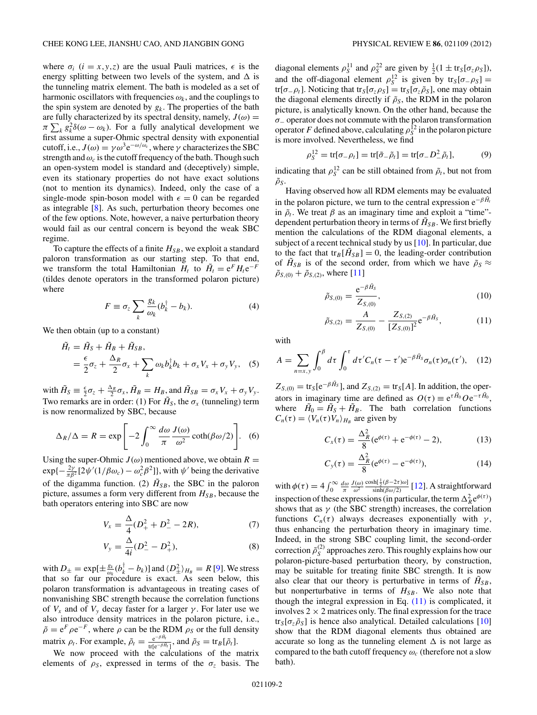<span id="page-1-0"></span>where  $\sigma_i$  (*i* = *x*, *y*, *z*) are the usual Pauli matrices,  $\epsilon$  is the energy splitting between two levels of the system, and  $\Delta$  is the tunneling matrix element. The bath is modeled as a set of harmonic oscillators with frequencies  $\omega_k$ , and the couplings to the spin system are denoted by  $g_k$ . The properties of the bath are fully characterized by its spectral density, namely,  $J(\omega)$  =  $\pi \sum_{k} g_{k}^{2} \delta(\omega - \omega_{k})$ . For a fully analytical development we first assume a super-Ohmic spectral density with exponential cutoff, i.e.,  $J(\omega) = \gamma \omega^3 e^{-\omega/\omega_c}$ , where  $\gamma$  characterizes the SBC strength and  $\omega_c$  is the cutoff frequency of the bath. Though such an open-system model is standard and (deceptively) simple, even its stationary properties do not have exact solutions (not to mention its dynamics). Indeed, only the case of a single-mode spin-boson model with  $\epsilon = 0$  can be regarded as integrable [\[8\]](#page-6-0). As such, perturbation theory becomes one of the few options. Note, however, a naive perturbation theory would fail as our central concern is beyond the weak SBC regime.

To capture the effects of a finite  $H_{SB}$ , we exploit a standard paloron transformation as our starting step. To that end, we transform the total Hamiltonian  $H_t$  to  $\tilde{H}_t = e^F H_t e^{-F}$ (tildes denote operators in the transformed polaron picture) where

$$
F \equiv \sigma_z \sum_k \frac{g_k}{\omega_k} (b_k^{\dagger} - b_k). \tag{4}
$$

We then obtain (up to a constant)

$$
\tilde{H}_t = \tilde{H}_S + \tilde{H}_B + \tilde{H}_{SB},
$$
\n
$$
= \frac{\epsilon}{2}\sigma_z + \frac{\Delta_R}{2}\sigma_x + \sum_k \omega_k b_k^{\dagger} b_k + \sigma_x V_x + \sigma_y V_y, \quad (5)
$$

with  $\tilde{H}_S \equiv \frac{\epsilon}{2} \sigma_z + \frac{\Delta_R}{2} \sigma_x$ ,  $\tilde{H}_B = H_B$ , and  $\tilde{H}_{SB} = \sigma_x V_x + \sigma_y V_y$ . Two remarks are in order: (1) For  $\tilde{H}_s$ , the  $\sigma_x$  (tunneling) term is now renormalized by SBC, because

$$
\Delta_R/\Delta = R = \exp\left[-2\int_0^\infty \frac{d\omega}{\pi} \frac{J(\omega)}{\omega^2} \coth(\beta\omega/2)\right].
$$
 (6)

Using the super-Ohmic  $J(\omega)$  mentioned above, we obtain  $R =$  $\exp\{-\frac{2\gamma}{\pi\beta^2}[2\psi'(1/\beta\omega_c)-\omega_c^2\beta^2]\}\,$ , with  $\psi'$  being the derivative of the digamma function. (2)  $\tilde{H}_{SB}$ , the SBC in the paloron picture, assumes a form very different from  $H_{SB}$ , because the bath operators entering into SBC are now

$$
V_x = \frac{\Delta}{4}(D_+^2 + D_-^2 - 2R),\tag{7}
$$

$$
V_{y} = \frac{\Delta}{4i}(D_{-}^{2} - D_{+}^{2}),
$$
\n(8)

with  $D_{\pm} = \exp[\pm \frac{g_k}{\omega_k} (b_k^{\dagger} - b_k)]$  and  $\langle D_{\pm}^2 \rangle_{H_B} = R$  [\[9\]](#page-6-0). We stress that so far our procedure is exact. As seen below, this polaron transformation is advantageous in treating cases of nonvanishing SBC strength because the correlation functions of  $V_x$  and of  $V_y$  decay faster for a larger  $\gamma$ . For later use we also introduce density matrices in the polaron picture, i.e.,  $\tilde{\rho} = e^F \rho e^{-F}$ , where  $\rho$  can be the RDM  $\rho_S$  or the full density matrix  $\rho_t$ . For example,  $\tilde{\rho}_t = \frac{e^{-\beta \tilde{H}_t}}{\text{tr}[e^{-\beta \tilde{H}_t}]}$ , and  $\tilde{\rho}_S = \text{tr}_B[\tilde{\rho}_t]$ .

We now proceed with the calculations of the matrix elements of  $\rho_S$ , expressed in terms of the  $\sigma_z$  basis. The

diagonal elements  $\rho_S^{11}$  and  $\rho_S^{22}$  are given by  $\frac{1}{2}(1 \pm \text{tr}_S[\sigma_z \rho_S]),$ and the off-diagonal element  $\rho_S^{12}$  is given by tr<sub>*S*</sub>[ $\sigma_{\rho}$ *S*] =  $tr[\sigma_{-\rho_t}]$ . Noticing that  $tr_S[\sigma_z \rho_S] = tr_S[\sigma_z \tilde{\rho}_S]$ , one may obtain the diagonal elements directly if  $\tilde{\rho}_s$ , the RDM in the polaron picture, is analytically known. On the other hand, because the *σ*<sup>−</sup> operator does not commute with the polaron transformation operator *F* defined above, calculating  $\rho_S^{12}$  in the polaron picture is more involved. Nevertheless, we find

$$
\rho_S^{12} = \text{tr}[\sigma_- \rho_t] = \text{tr}[\tilde{\sigma}_- \tilde{\rho}_t] = \text{tr}[\sigma_- D_-^2 \tilde{\rho}_t],\tag{9}
$$

indicating that  $\rho_S^{12}$  can be still obtained from  $\tilde{\rho}_t$ , but not from  $\rho_S$ .

Having observed how all RDM elements may be evaluated in the polaron picture, we turn to the central expression  $e^{-\beta H_t}$ in  $\tilde{\rho}_t$ . We treat  $\beta$  as an imaginary time and exploit a "time"dependent perturbation theory in terms of  $\tilde{H}_{SB}$ . We first briefly mention the calculations of the RDM diagonal elements, a subject of a recent technical study by us [\[10\]](#page-6-0). In particular, due to the fact that  $tr_B[\tilde{H}_{SB}] = 0$ , the leading-order contribution of  $H_{SB}$  is of the second order, from which we have  $\rho_S \approx$  $\tilde{\rho}_{S,(0)} + \tilde{\rho}_{S,(2)}$ , where [\[11\]](#page-6-0)

$$
\tilde{\rho}_{S,(0)} = \frac{e^{-\beta \tilde{H}_S}}{Z_{S,(0)}},\tag{10}
$$

$$
\tilde{\rho}_{S,(2)} = \frac{A}{Z_{S,(0)}} - \frac{Z_{S,(2)}}{[Z_{S,(0)}]^2} e^{-\beta \tilde{H}_S},\tag{11}
$$

with

$$
A = \sum_{n=x,y} \int_0^\beta d\tau \int_0^\tau d\tau' C_n(\tau - \tau') e^{-\beta \tilde{H}_S} \sigma_n(\tau) \sigma_n(\tau'), \quad (12)
$$

 $Z_{S,(0)} = \text{tr}_S[e^{-\beta \tilde{H}_S}]$ , and  $Z_{S,(2)} = \text{tr}_S[A]$ . In addition, the operators in imaginary time are defined as  $O(\tau) \equiv e^{\tau \tilde{H}_0} O e^{-\tau \tilde{H}_0}$ , where  $\tilde{H}_0 = \tilde{H}_S + \tilde{H}_B$ . The bath correlation functions  $C_n(\tau) = \langle V_n(\tau) V_n \rangle_{H_B}$  are given by

$$
C_x(\tau) = \frac{\Delta_R^2}{8} (e^{\phi(\tau)} + e^{-\phi(\tau)} - 2), \tag{13}
$$

$$
C_{y}(\tau) = \frac{\Delta_{R}^{2}}{8} (e^{\phi(\tau)} - e^{-\phi(\tau)}),
$$
 (14)

with  $\phi(\tau) = 4 \int_0^\infty \frac{d\omega}{\pi} \frac{J(\omega)}{\omega^2}$ cosh[ <sup>1</sup> <sup>2</sup> (*β*−2*τ* )*ω*] sinh(*βω/*2) [\[12\]](#page-6-0). A straightforward inspection of these expressions (in particular, the term  $\Delta_R^2 e^{\phi(\tau)}$ ) shows that as  $\gamma$  (the SBC strength) increases, the correlation functions  $C_n(\tau)$  always decreases exponentially with  $\gamma$ , thus enhancing the perturbation theory in imaginary time. Indeed, in the strong SBC coupling limit, the second-order correction  $\tilde{\rho}_S^{(2)}$  approaches zero. This roughly explains how our polaron-picture-based perturbation theory, by construction, may be suitable for treating finite SBC strength. It is now also clear that our theory is perturbative in terms of  $H_{SB}$ , but nonperturbative in terms of  $H_{SB}$ . We also note that though the integral expression in Eq.  $(11)$  is complicated, it involves  $2 \times 2$  matrices only. The final expression for the trace  $tr_S[\sigma_z\tilde{\rho}_S]$  is hence also analytical. Detailed calculations [\[10\]](#page-6-0) show that the RDM diagonal elements thus obtained are accurate so long as the tunneling element  $\Delta$  is not large as compared to the bath cutoff frequency  $\omega_c$  (therefore not a slow bath).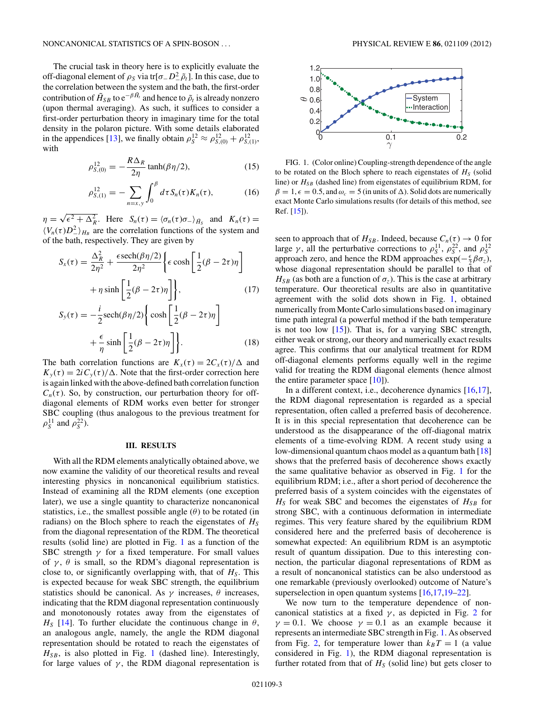<span id="page-2-0"></span>The crucial task in theory here is to explicitly evaluate the off-diagonal element of  $\rho_S$  via tr[ $\sigma_- D_-^2 \tilde{\rho}_t$ ]. In this case, due to the correlation between the system and the bath, the first-order contribution of  $\tilde{H}_{SB}$  to  $e^{-\beta \tilde{H}_t}$  and hence to  $\tilde{\rho}_t$  is already nonzero (upon thermal averaging). As such, it suffices to consider a first-order perturbation theory in imaginary time for the total density in the polaron picture. With some details elaborated in the appendices [\[13\]](#page-6-0), we finally obtain  $\rho_S^{12} \approx \rho_{S,(0)}^{12} + \rho_{S,(1)}^{12}$ , with

$$
\rho_{S,(0)}^{12} = -\frac{R\Delta_R}{2\eta} \tanh(\beta\eta/2),\tag{15}
$$

$$
\rho_{S,(1)}^{12} = -\sum_{n=x,y} \int_0^\beta d\tau S_n(\tau) K_n(\tau), \qquad (16)
$$

 $\eta = \sqrt{\epsilon^2 + \Delta_R^2}$ . Here  $S_n(\tau) = \langle \sigma_n(\tau) \sigma_{-} \rangle_{\tilde{H}_S}$  and  $K_n(\tau) =$  $\langle V_n(\tau)D^2 \rangle_{H_B}$  are the correlation functions of the system and of the bath, respectively. They are given by

$$
S_x(\tau) = \frac{\Delta_R^2}{2\eta^2} + \frac{\epsilon \operatorname{sech}(\beta \eta/2)}{2\eta^2} \left\{ \epsilon \cosh\left[\frac{1}{2}(\beta - 2\tau)\eta\right] + \eta \sinh\left[\frac{1}{2}(\beta - 2\tau)\eta\right] \right\},\tag{17}
$$

$$
S_y(\tau) = -\frac{i}{2} \operatorname{sech}(\beta \eta/2) \left\{ \cosh\left[\frac{1}{2}(\beta - 2\tau)\eta\right] \right\}
$$

$$
+\frac{\epsilon}{\eta}\sinh\left[\frac{1}{2}(\beta-2\tau)\eta\right]\bigg\}.
$$
 (18)

The bath correlation functions are  $K_x(\tau) = 2C_x(\tau)/\Delta$  and  $K_y(\tau) = 2iC_y(\tau)/\Delta$ . Note that the first-order correction here is again linked with the above-defined bath correlation function  $C_n(\tau)$ . So, by construction, our perturbation theory for offdiagonal elements of RDM works even better for stronger SBC coupling (thus analogous to the previous treatment for  $\rho_S^{11}$  and  $\rho_S^{22}$ ).

## **III. RESULTS**

With all the RDM elements analytically obtained above, we now examine the validity of our theoretical results and reveal interesting physics in noncanonical equilibrium statistics. Instead of examining all the RDM elements (one exception later), we use a single quantity to characterize noncanonical statistics, i.e., the smallest possible angle  $(\theta)$  to be rotated (in radians) on the Bloch sphere to reach the eigenstates of  $H<sub>S</sub>$ from the diagonal representation of the RDM. The theoretical results (solid line) are plotted in Fig. 1 as a function of the SBC strength  $\gamma$  for a fixed temperature. For small values of  $\gamma$ ,  $\theta$  is small, so the RDM's diagonal representation is close to, or significantly overlapping with, that of *HS*. This is expected because for weak SBC strength, the equilibrium statistics should be canonical. As  $\gamma$  increases,  $\theta$  increases, indicating that the RDM diagonal representation continuously and monotonously rotates away from the eigenstates of  $H<sub>S</sub>$  [\[14\]](#page-6-0). To further elucidate the continuous change in  $\theta$ , an analogous angle, namely, the angle the RDM diagonal representation should be rotated to reach the eigenstates of *HSB*, is also plotted in Fig. 1 (dashed line). Interestingly, for large values of  $\gamma$ , the RDM diagonal representation is



FIG. 1. (Color online) Coupling-strength dependence of the angle to be rotated on the Bloch sphere to reach eigenstates of  $H<sub>S</sub>$  (solid line) or  $H_{SB}$  (dashed line) from eigenstates of equilibrium RDM, for  $\beta = 1, \epsilon = 0.5$ , and  $\omega_c = 5$  (in units of  $\Delta$ ). Solid dots are numerically exact Monte Carlo simulations results (for details of this method, see Ref. [\[15\]](#page-6-0)).

seen to approach that of  $H_{SB}$ . Indeed, because  $C_n(\tau) \to 0$  for large *γ*, all the perturbative corrections to  $\rho_S^{11}$ ,  $\rho_S^{22}$ , and  $\rho_S^{12}$ approach zero, and hence the RDM approaches  $\exp(-\frac{\epsilon}{2}\beta\sigma_z)$ , whose diagonal representation should be parallel to that of  $H_{SB}$  (as both are a function of  $\sigma_z$ ). This is the case at arbitrary temperature. Our theoretical results are also in quantitative agreement with the solid dots shown in Fig. 1, obtained numerically from Monte Carlo simulations based on imaginary time path integral (a powerful method if the bath temperature is not too low [\[15\]](#page-6-0)). That is, for a varying SBC strength, either weak or strong, our theory and numerically exact results agree. This confirms that our analytical treatment for RDM off-diagonal elements performs equally well in the regime valid for treating the RDM diagonal elements (hence almost the entire parameter space  $[10]$ ).

In a different context, i.e., decoherence dynamics [\[16,17\]](#page-6-0), the RDM diagonal representation is regarded as a special representation, often called a preferred basis of decoherence. It is in this special representation that decoherence can be understood as the disappearance of the off-diagonal matrix elements of a time-evolving RDM. A recent study using a low-dimensional quantum chaos model as a quantum bath [\[18\]](#page-6-0) shows that the preferred basis of decoherence shows exactly the same qualitative behavior as observed in Fig. 1 for the equilibrium RDM; i.e., after a short period of decoherence the preferred basis of a system coincides with the eigenstates of  $H<sub>S</sub>$  for weak SBC and becomes the eigenstates of  $H<sub>SB</sub>$  for strong SBC, with a continuous deformation in intermediate regimes. This very feature shared by the equilibrium RDM considered here and the preferred basis of decoherence is somewhat expected: An equilibrium RDM is an asymptotic result of quantum dissipation. Due to this interesting connection, the particular diagonal representations of RDM as a result of noncanonical statistics can be also understood as one remarkable (previously overlooked) outcome of Nature's superselection in open quantum systems [\[16,17,19–22\]](#page-6-0).

We now turn to the temperature dependence of noncanonical statistics at a fixed  $\gamma$ , as depicted in Fig. [2](#page-3-0) for  $\gamma = 0.1$ . We choose  $\gamma = 0.1$  as an example because it represents an intermediate SBC strength in Fig. 1. As observed from Fig. [2,](#page-3-0) for temperature lower than  $k_B T = 1$  (a value considered in Fig. 1), the RDM diagonal representation is further rotated from that of  $H<sub>S</sub>$  (solid line) but gets closer to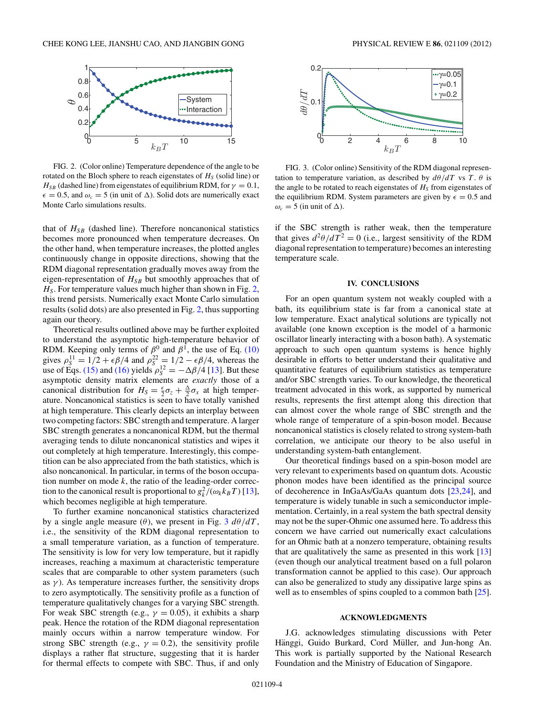<span id="page-3-0"></span>

FIG. 2. (Color online) Temperature dependence of the angle to be rotated on the Bloch sphere to reach eigenstates of  $H<sub>S</sub>$  (solid line) or *H<sub>SB</sub>* (dashed line) from eigenstates of equilibrium RDM, for  $\gamma = 0.1$ ,  $\epsilon = 0.5$ , and  $\omega_c = 5$  (in unit of  $\Delta$ ). Solid dots are numerically exact Monte Carlo simulations results.

that of  $H_{SB}$  (dashed line). Therefore noncanonical statistics becomes more pronounced when temperature decreases. On the other hand, when temperature increases, the plotted angles continuously change in opposite directions, showing that the RDM diagonal representation gradually moves away from the eigen-representation of  $H_{SB}$  but smoothly approaches that of *H<sub>S</sub>*. For temperature values much higher than shown in Fig. 2, this trend persists. Numerically exact Monte Carlo simulation results (solid dots) are also presented in Fig. 2, thus supporting again our theory.

Theoretical results outlined above may be further exploited to understand the asymptotic high-temperature behavior of RDM. Keeping only terms of  $\beta^0$  and  $\beta^1$ , the use of Eq. [\(10\)](#page-1-0) gives  $\rho_S^{11} = 1/2 + \epsilon \beta / 4$  and  $\rho_S^{22} = 1/2 - \epsilon \beta / 4$ , whereas the use of Eqs. [\(15\)](#page-2-0) and [\(16\)](#page-2-0) yields  $\rho_S^{12} = -\Delta\beta/4$  [\[13\]](#page-6-0). But these asymptotic density matrix elements are *exactly* those of a canonical distribution for  $H_s = \frac{\epsilon}{2}\sigma_z + \frac{\Delta}{2}\sigma_x$  at high temperature. Noncanonical statistics is seen to have totally vanished at high temperature. This clearly depicts an interplay between two competing factors: SBC strength and temperature. A larger SBC strength generates a noncanonical RDM, but the thermal averaging tends to dilute noncanonical statistics and wipes it out completely at high temperature. Interestingly, this competition can be also appreciated from the bath statistics, which is also noncanonical. In particular, in terms of the boson occupation number on mode  $k$ , the ratio of the leading-order correction to the canonical result is proportional to  $g_k^2/(\omega_k k_B T)$  [\[13\]](#page-6-0), which becomes negligible at high temperature.

To further examine noncanonical statistics characterized by a single angle measure (*θ*), we present in Fig. 3 *dθ/dT* , i.e., the sensitivity of the RDM diagonal representation to a small temperature variation, as a function of temperature. The sensitivity is low for very low temperature, but it rapidly increases, reaching a maximum at characteristic temperature scales that are comparable to other system parameters (such as  $\gamma$ ). As temperature increases further, the sensitivity drops to zero asymptotically. The sensitivity profile as a function of temperature qualitatively changes for a varying SBC strength. For weak SBC strength (e.g.,  $\gamma = 0.05$ ), it exhibits a sharp peak. Hence the rotation of the RDM diagonal representation mainly occurs within a narrow temperature window. For strong SBC strength (e.g.,  $\gamma = 0.2$ ), the sensitivity profile displays a rather flat structure, suggesting that it is harder for thermal effects to compete with SBC. Thus, if and only



FIG. 3. (Color online) Sensitivity of the RDM diagonal representation to temperature variation, as described by  $d\theta/dT$  vs *T*.  $\theta$  is the angle to be rotated to reach eigenstates of  $H<sub>S</sub>$  from eigenstates of the equilibrium RDM. System parameters are given by  $\epsilon = 0.5$  and  $\omega_c = 5$  (in unit of  $\Delta$ ).

if the SBC strength is rather weak, then the temperature that gives  $d^2\theta/dT^2 = 0$  (i.e., largest sensitivity of the RDM diagonal representation to temperature) becomes an interesting temperature scale.

## **IV. CONCLUSIONS**

For an open quantum system not weakly coupled with a bath, its equilibrium state is far from a canonical state at low temperature. Exact analytical solutions are typically not available (one known exception is the model of a harmonic oscillator linearly interacting with a boson bath). A systematic approach to such open quantum systems is hence highly desirable in efforts to better understand their qualitative and quantitative features of equilibrium statistics as temperature and/or SBC strength varies. To our knowledge, the theoretical treatment advocated in this work, as supported by numerical results, represents the first attempt along this direction that can almost cover the whole range of SBC strength and the whole range of temperature of a spin-boson model. Because noncanonical statistics is closely related to strong system-bath correlation, we anticipate our theory to be also useful in understanding system-bath entanglement.

Our theoretical findings based on a spin-boson model are very relevant to experiments based on quantum dots. Acoustic phonon modes have been identified as the principal source of decoherence in InGaAs/GaAs quantum dots [\[23,24\]](#page-6-0), and temperature is widely tunable in such a semiconductor implementation. Certainly, in a real system the bath spectral density may not be the super-Ohmic one assumed here. To address this concern we have carried out numerically exact calculations for an Ohmic bath at a nonzero temperature, obtaining results that are qualitatively the same as presented in this work  $[13]$ (even though our analytical treatment based on a full polaron transformation cannot be applied to this case). Our approach can also be generalized to study any dissipative large spins as well as to ensembles of spins coupled to a common bath [\[25\]](#page-6-0).

#### **ACKNOWLEDGMENTS**

J.G. acknowledges stimulating discussions with Peter Hänggi, Guido Burkard, Cord Müller, and Jun-hong An. This work is partially supported by the National Research Foundation and the Ministry of Education of Singapore.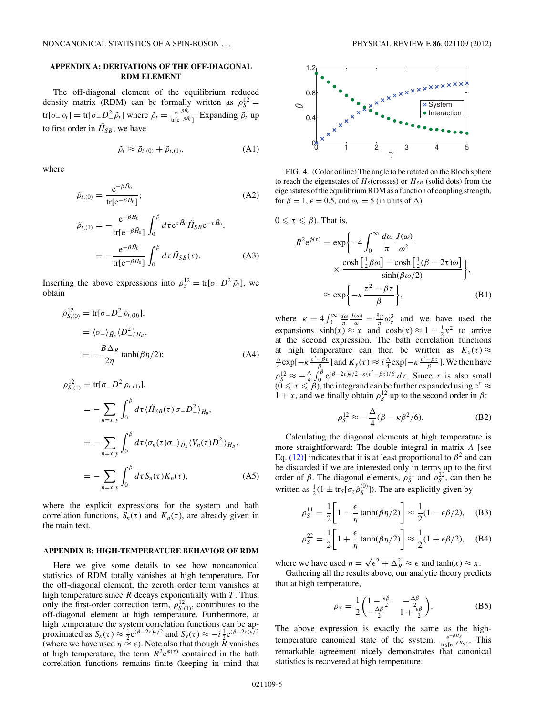# <span id="page-4-0"></span>**APPENDIX A: DERIVATIONS OF THE OFF-DIAGONAL RDM ELEMENT**

The off-diagonal element of the equilibrium reduced density matrix (RDM) can be formally written as  $\rho_S^{12} =$  $tr[\sigma_{P} - \rho_t] = tr[\sigma_{P} - D^2_{P} \tilde{\rho}_t]$  where  $\tilde{\rho}_t = \frac{e^{-\beta \tilde{H}_t}}{tr[e^{-\beta \tilde{H}_t}]}$ . Expanding  $\tilde{\rho}_t$  up to first order in  $\tilde{H}_{SB}$ , we have

$$
\tilde{\rho}_t \approx \tilde{\rho}_{t,(0)} + \tilde{\rho}_{t,(1)},\tag{A1}
$$

where

$$
\tilde{\rho}_{t,(0)} = \frac{\mathrm{e}^{-\beta \tilde{H}_0}}{\mathrm{tr}[\mathrm{e}^{-\beta \tilde{H}_0}]};
$$
\n(A2)

$$
\tilde{\rho}_{t,(1)} = -\frac{e^{-\beta \tilde{H}_0}}{\text{tr}[e^{-\beta \tilde{H}_0}]} \int_0^\beta d\tau e^{\tau \tilde{H}_0} \tilde{H}_{SB} e^{-\tau \tilde{H}_0},
$$
\n
$$
= -\frac{e^{-\beta \tilde{H}_0}}{\text{tr}[e^{-\beta \tilde{H}_0}]} \int_0^\beta d\tau \tilde{H}_{SB}(\tau). \tag{A3}
$$

Inserting the above expressions into  $\rho_S^{12} = \text{tr}[\sigma_- D_-^2 \tilde{\rho}_t]$ , we obtain

$$
\rho_{S,(0)}^{12} = \text{tr}[\sigma_- D_-^2 \rho_{t,(0)}],
$$
  
=  $\langle \sigma_- \rangle_{\tilde{H}_S} \langle D_-^2 \rangle_{H_B},$   
=  $-\frac{B \Delta_R}{2\eta} \tanh(\beta \eta/2);$  (A4)

$$
\rho_{S,(1)}^{12} = \text{tr}[\sigma_- D_-^2 \rho_{t,(1)}],
$$
  
\n
$$
= - \sum_{n=x,y} \int_0^\beta d\tau \langle \tilde{H}_{SB}(\tau) \sigma_- D_-^2 \rangle_{\tilde{H}_0},
$$
  
\n
$$
= - \sum_{n=x,y} \int_0^\beta d\tau \langle \sigma_n(\tau) \sigma_- \rangle_{\tilde{H}_S} \langle V_n(\tau) D_-^2 \rangle_{H_B},
$$
  
\n
$$
= - \sum_{n=x,y} \int_0^\beta d\tau S_n(\tau) K_n(\tau),
$$
 (A5)

where the explicit expressions for the system and bath correlation functions,  $S_n(\tau)$  and  $K_n(\tau)$ , are already given in the main text.

# **APPENDIX B: HIGH-TEMPERATURE BEHAVIOR OF RDM**

Here we give some details to see how noncanonical statistics of RDM totally vanishes at high temperature. For the off-diagonal element, the zeroth order term vanishes at high temperature since *R* decays exponentially with *T* . Thus, only the first-order correction term,  $\rho_{S,(1)}^{12}$ , contributes to the off-diagonal element at high temperature. Furthermore, at high temperature the system correlation functions can be approximated as  $S_x(\tau) \approx \frac{1}{2} e^{(\beta - 2\tau)\epsilon/2}$  and  $S_y(\tau) \approx -i \frac{1}{2} e^{(\beta - 2\tau)\epsilon/2}$ (where we have used  $\eta \approx \epsilon$ ). Note also that though  $\bar{R}$  vanishes at high temperature, the term  $R^2e^{\phi(\tau)}$  contained in the bath correlation functions remains finite (keeping in mind that



FIG. 4. (Color online) The angle to be rotated on the Bloch sphere to reach the eigenstates of  $H<sub>S</sub>(crosses)$  or  $H<sub>SB</sub>$  (solid dots) from the eigenstates of the equilibrium RDM as a function of coupling strength, for  $\beta = 1$ ,  $\epsilon = 0.5$ , and  $\omega_c = 5$  (in units of  $\Delta$ ).

$$
0 \leq \tau \leq \beta
$$
. That is,  
\n
$$
R^{2}e^{\phi(\tau)} = \exp\left\{-4\int_{0}^{\infty} \frac{d\omega}{\pi} \frac{J(\omega)}{\omega^{2}} \times \frac{\cosh\left[\frac{1}{2}\beta\omega\right] - \cosh\left[\frac{1}{2}(\beta - 2\tau)\omega\right]}{\sinh(\beta\omega/2)}\right\},\
$$
\n
$$
\approx \exp\left\{-\kappa \frac{\tau^{2} - \beta\tau}{\beta}\right\},
$$
\n(B1)

where  $\kappa = 4 \int_0^\infty \frac{d\omega}{\pi} \frac{J(\omega)}{\omega} = \frac{8\gamma}{\pi} \omega_c^3$  and we have used the expansions  $sinh(x) \approx x$  and  $cosh(x) \approx 1 + \frac{1}{2}x^2$  to arrive at the second expression. The bath correlation functions at high temperature can then be written as  $K_x(\tau) \approx$  $\frac{\Delta}{4}$ exp[ $-\kappa \frac{\tau^2-\beta\tau}{\beta}$ ] and  $K_y(\tau) \approx i \frac{\Delta}{4}$ exp[ $-\kappa \frac{\tau^2-\beta\tau}{\beta}$ ]. We then have  $\rho_S^{12} \approx -\frac{\Delta}{4} \int_0^\beta e^{(\beta - 2\tau)\epsilon/2 - \kappa(\tau^2 - \beta \tau)/\beta} d\tau$ . Since  $\tau$  is also small  $(0 \le \tau \le \beta)$ , the integrand can be further expanded using  $e^x \approx$  $1 + x$ , and we finally obtain  $\rho_S^{12}$  up to the second order in  $\beta$ :

$$
\rho_S^{12} \approx -\frac{\Delta}{4} (\beta - \kappa \beta^2 / 6). \tag{B2}
$$

Calculating the diagonal elements at high temperature is more straightforward: The double integral in matrix *A* [see Eq. [\(12\)\]](#page-1-0) indicates that it is at least proportional to  $\beta^2$  and can be discarded if we are interested only in terms up to the first order of  $\beta$ . The diagonal elements,  $\rho_S^{11}$  and  $\rho_S^{22}$ , can then be written as  $\frac{1}{2} (1 \pm \text{tr}_S[\sigma_z \tilde{\rho}_S^{(0)}])$ . The are explicitly given by

$$
\rho_S^{11} = \frac{1}{2} \bigg[ 1 - \frac{\epsilon}{\eta} \tanh(\beta \eta/2) \bigg] \approx \frac{1}{2} (1 - \epsilon \beta/2), \quad \text{(B3)}
$$

$$
\rho_S^{22} = \frac{1}{2} \bigg[ 1 + \frac{\epsilon}{\eta} \tanh(\beta \eta/2) \bigg] \approx \frac{1}{2} (1 + \epsilon \beta/2), \quad \text{(B4)}
$$

where we have used  $\eta = \sqrt{\epsilon^2 + \Delta_R^2} \approx \epsilon$  and  $\tanh(x) \approx x$ .

Gathering all the results above, our analytic theory predicts that at high temperature,

$$
\rho_S = \frac{1}{2} \begin{pmatrix} 1 - \frac{\epsilon \beta}{2} & -\frac{\Delta \beta}{2} \\ -\frac{\Delta \beta}{2} & 1 + \frac{\epsilon \beta}{2} \end{pmatrix} . \tag{B5}
$$

The above expression is exactly the same as the hightemperature canonical state of the system,  $\frac{e^{-\beta H_S}}{tr_S[e^{-\beta H_S}]}.$  This remarkable agreement nicely demonstrates that canonical statistics is recovered at high temperature.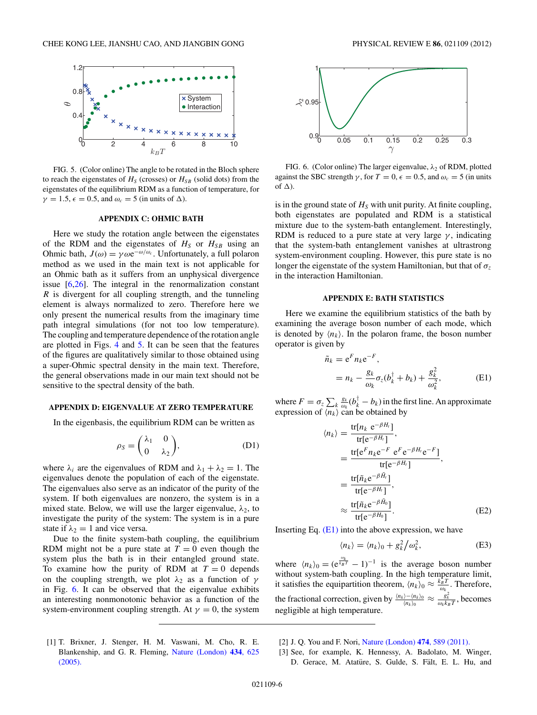<span id="page-5-0"></span>

FIG. 5. (Color online) The angle to be rotated in the Bloch sphere to reach the eigenstates of  $H_S$  (crosses) or  $H_{SB}$  (solid dots) from the eigenstates of the equilibrium RDM as a function of temperature, for  $\gamma = 1.5$ ,  $\epsilon = 0.5$ , and  $\omega_c = 5$  (in units of  $\Delta$ ).

## **APPENDIX C: OHMIC BATH**

Here we study the rotation angle between the eigenstates of the RDM and the eigenstates of  $H_S$  or  $H_{SB}$  using an Ohmic bath,  $J(\omega) = \gamma \omega e^{-\omega/\omega_c}$ . Unfortunately, a full polaron method as we used in the main text is not applicable for an Ohmic bath as it suffers from an unphysical divergence issue [\[6,26\]](#page-6-0). The integral in the renormalization constant *R* is divergent for all coupling strength, and the tunneling element is always normalized to zero. Therefore here we only present the numerical results from the imaginary time path integral simulations (for not too low temperature). The coupling and temperature dependence of the rotation angle are plotted in Figs. [4](#page-4-0) and 5. It can be seen that the features of the figures are qualitatively similar to those obtained using a super-Ohmic spectral density in the main text. Therefore, the general observations made in our main text should not be sensitive to the spectral density of the bath.

## **APPENDIX D: EIGENVALUE AT ZERO TEMPERATURE**

In the eigenbasis, the equilibrium RDM can be written as

$$
\rho_S = \begin{pmatrix} \lambda_1 & 0 \\ 0 & \lambda_2 \end{pmatrix}, \tag{D1}
$$

where  $\lambda_i$  are the eigenvalues of RDM and  $\lambda_1 + \lambda_2 = 1$ . The eigenvalues denote the population of each of the eigenstate. The eigenvalues also serve as an indicator of the purity of the system. If both eigenvalues are nonzero, the system is in a mixed state. Below, we will use the larger eigenvalue,  $\lambda_2$ , to investigate the purity of the system: The system is in a pure state if  $\lambda_2 = 1$  and vice versa.

Due to the finite system-bath coupling, the equilibrium RDM might not be a pure state at  $T = 0$  even though the system plus the bath is in their entangled ground state. To examine how the purity of RDM at  $T = 0$  depends on the coupling strength, we plot  $\lambda_2$  as a function of  $\gamma$ in Fig. 6. It can be observed that the eigenvalue exhibits an interesting nonmonotonic behavior as a function of the system-environment coupling strength. At  $\gamma = 0$ , the system



FIG. 6. (Color online) The larger eigenvalue, *λ*<sup>2</sup> of RDM, plotted against the SBC strength  $\gamma$ , for  $T = 0$ ,  $\epsilon = 0.5$ , and  $\omega_c = 5$  (in units of  $\Delta$ ).

is in the ground state of  $H<sub>S</sub>$  with unit purity. At finite coupling, both eigenstates are populated and RDM is a statistical mixture due to the system-bath entanglement. Interestingly, RDM is reduced to a pure state at very large  $\gamma$ , indicating that the system-bath entanglement vanishes at ultrastrong system-environment coupling. However, this pure state is no longer the eigenstate of the system Hamiltonian, but that of  $\sigma_z$ in the interaction Hamiltonian.

## **APPENDIX E: BATH STATISTICS**

Here we examine the equilibrium statistics of the bath by examining the average boson number of each mode, which is denoted by  $\langle n_k \rangle$ . In the polaron frame, the boson number operator is given by

$$
\tilde{n}_k = e^F n_k e^{-F},
$$
  
=  $n_k - \frac{g_k}{\omega_k} \sigma_z (b_k^{\dagger} + b_k) + \frac{g_k^2}{\omega_k^2},$  (E1)

where  $F = \sigma_z \sum_k \frac{g_k}{\omega_k}$  $\frac{g_k}{\omega_k}$  ( $b_k^{\dagger} - b_k$ ) in the first line. An approximate expression of  $\langle n_k \rangle$  can be obtained by

$$
\langle n_k \rangle = \frac{\text{tr}[n_k \text{ e}^{-\beta H_t}]}{\text{tr}[\text{e}^{-\beta H_t}]},
$$
  
\n
$$
= \frac{\text{tr}[\text{e}^F n_k \text{e}^{-F} \text{ e}^F \text{e}^{-\beta H_t} \text{e}^{-F}]}{\text{tr}[\text{e}^{-\beta H_t}]},
$$
  
\n
$$
= \frac{\text{tr}[\tilde{n}_k \text{e}^{-\beta \tilde{H}_t}]}{\text{tr}[\text{e}^{-\beta H_t}]},
$$
  
\n
$$
\approx \frac{\text{tr}[\tilde{n}_k \text{e}^{-\beta \tilde{H}_0}]}{\text{tr}[\text{e}^{-\beta H_0}]}.
$$
(E2)

Inserting Eq.  $(E1)$  into the above expression, we have

$$
\langle n_k \rangle = \langle n_k \rangle_0 + g_k^2 / \omega_k^2, \tag{E3}
$$

where  $\langle n_k \rangle_0 = (e^{\frac{\omega_k}{k_BT}} - 1)^{-1}$  is the average boson number without system-bath coupling. In the high temperature limit, it satisfies the equipartition theorem,  $\langle n_k \rangle_0 \approx \frac{k_B T}{\omega_k}$ . Therefore, the fractional correction, given by  $\frac{\langle n_k \rangle - \langle n_k \rangle_0}{\langle n_k \rangle_0} \approx \frac{g_k^2}{\omega_k k_B T}$ , becomes negligible at high temperature.

- [1] T. Brixner, J. Stenger, H. M. Vaswani, M. Cho, R. E. Blankenship, and G. R. Fleming, [Nature \(London\)](http://dx.doi.org/10.1038/nature03429) **434**, 625 [\(2005\).](http://dx.doi.org/10.1038/nature03429)
- [2] J. Q. You and F. Nori, [Nature \(London\)](http://dx.doi.org/10.1038/nature10122) **474**, 589 (2011).
- [3] See, for example, K. Hennessy, A. Badolato, M. Winger, D. Gerace, M. Atatüre, S. Gulde, S. Fält, E. L. Hu, and